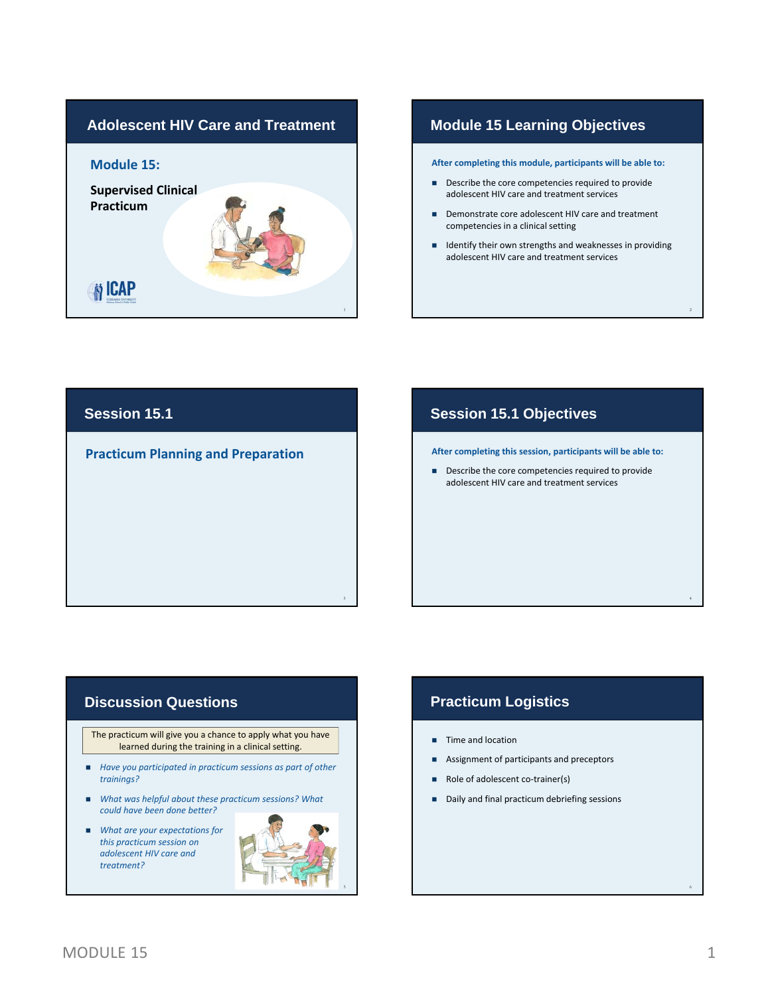

## **Module 15 Learning Objectives**

**After completing this module, participants will be able to:**

- Describe the core competencies required to provide adolescent HIV care and treatment services
- Demonstrate core adolescent HIV care and treatment competencies in a clinical setting
- $\blacksquare$  Identify their own strengths and weaknesses in providing adolescent HIV care and treatment services

# **Session 15.1**

**Practicum Planning and Preparation**

## **Session 15.1 Objectives**

**After completing this session, participants will be able to:**

Describe the core competencies required to provide adolescent HIV care and treatment services

### **Discussion Questions**

The practicum will give you a chance to apply what you have learned during the training in a clinical setting.

- *Have you participated in practicum sessions as part of other trainings?*
- *What was helpful about these practicum sessions? What could have been done better?*
- *What are your expectations for this practicum session on adolescent HIV care and treatment?*



3

# **Practicum Logistics**

- **Time and location**
- Assignment of participants and preceptors
- Role of adolescent co-trainer(s)
- Daily and final practicum debriefing sessions

2

4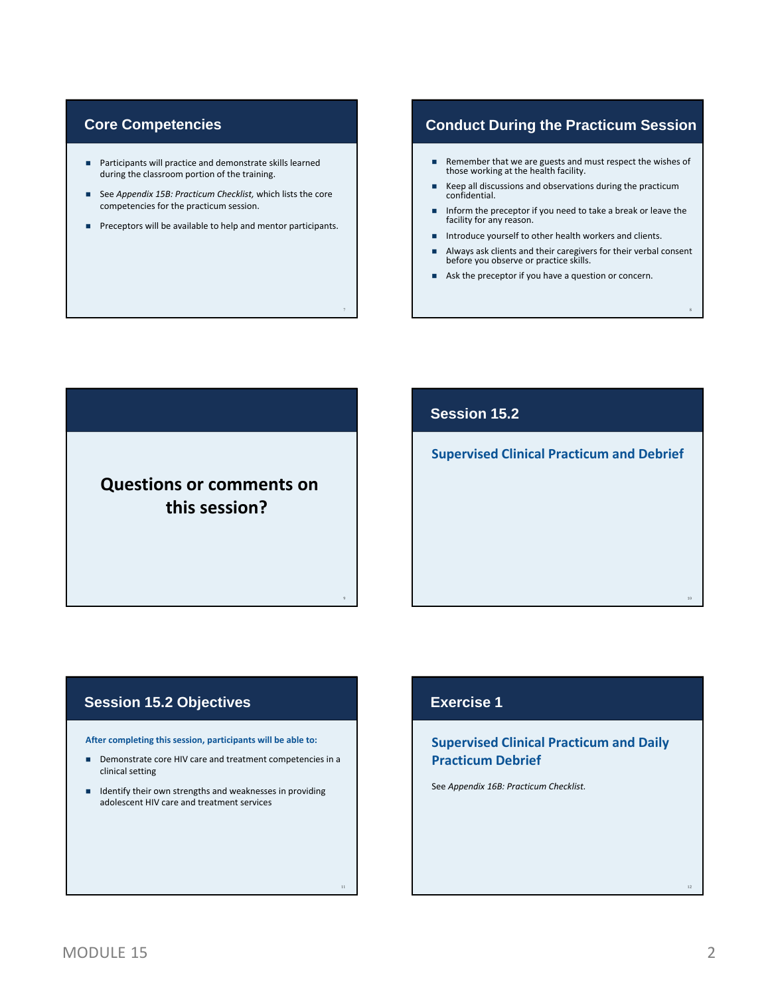### **Core Competencies**

- Participants will practice and demonstrate skills learned during the classroom portion of the training.
- See *Appendix 15B: Practicum Checklist,* which lists the core competencies for the practicum session.
- **Preceptors will be available to help and mentor participants.**

7

9

# **Conduct During the Practicum Session**

- Remember that we are guests and must respect the wishes of those working at the health facility.
- Keep all discussions and observations during the practicum confidential.
- **Inform the preceptor if you need to take a break or leave the** facility for any reason.
- Introduce yourself to other health workers and clients.
- Always ask clients and their caregivers for their verbal consent before you observe or practice skills.

8

10

Ask the preceptor if you have a question or concern.

**Questions or comments on this session?**

### **Session 15.2**

**Supervised Clinical Practicum and Debrief**

# **Session 15.2 Objectives**

**After completing this session, participants will be able to:**

- Demonstrate core HIV care and treatment competencies in a clinical setting
- **IDENTIFY THEORY OF STARK IS A LOCAL EXAMPLE IN A LOCAL IDENTIFY CONTROL** adolescent HIV care and treatment services

# **Exercise 1**

#### **Supervised Clinical Practicum and Daily Practicum Debrief**

See *Appendix 16B: Practicum Checklist.*